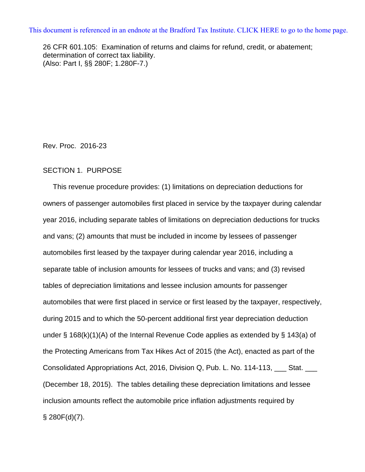[This document is referenced in an endnote at the Bradford Tax Institute. CLICK HERE to go to the home page.](www.bradfordtaxinstitute.com)

26 CFR 601.105: Examination of returns and claims for refund, credit, or abatement; determination of correct tax liability. (Also: Part I, §§ 280F; 1.280F-7.)

Rev. Proc. 2016-23

### SECTION 1. PURPOSE

 This revenue procedure provides: (1) limitations on depreciation deductions for owners of passenger automobiles first placed in service by the taxpayer during calendar year 2016, including separate tables of limitations on depreciation deductions for trucks and vans; (2) amounts that must be included in income by lessees of passenger automobiles first leased by the taxpayer during calendar year 2016, including a separate table of inclusion amounts for lessees of trucks and vans; and (3) revised tables of depreciation limitations and lessee inclusion amounts for passenger automobiles that were first placed in service or first leased by the taxpayer, respectively, during 2015 and to which the 50-percent additional first year depreciation deduction under § 168(k)(1)(A) of the Internal Revenue Code applies as extended by § 143(a) of the Protecting Americans from Tax Hikes Act of 2015 (the Act), enacted as part of the Consolidated Appropriations Act, 2016, Division Q, Pub. L. No. 114-113, \_\_\_ Stat. \_\_\_ (December 18, 2015). The tables detailing these depreciation limitations and lessee inclusion amounts reflect the automobile price inflation adjustments required by  $§$  280 $F(d)(7)$ .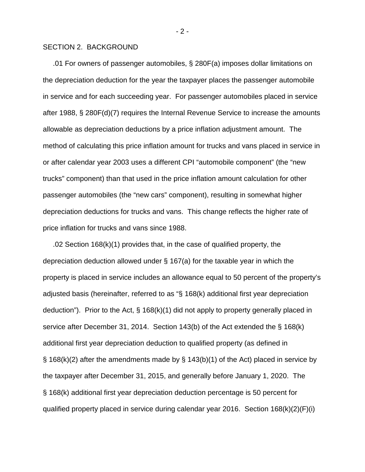#### SECTION 2. BACKGROUND

 .01 For owners of passenger automobiles, § 280F(a) imposes dollar limitations on the depreciation deduction for the year the taxpayer places the passenger automobile in service and for each succeeding year. For passenger automobiles placed in service after 1988, § 280F(d)(7) requires the Internal Revenue Service to increase the amounts allowable as depreciation deductions by a price inflation adjustment amount. The method of calculating this price inflation amount for trucks and vans placed in service in or after calendar year 2003 uses a different CPI "automobile component" (the "new trucks" component) than that used in the price inflation amount calculation for other passenger automobiles (the "new cars" component), resulting in somewhat higher depreciation deductions for trucks and vans. This change reflects the higher rate of price inflation for trucks and vans since 1988.

 .02 Section 168(k)(1) provides that, in the case of qualified property, the depreciation deduction allowed under § 167(a) for the taxable year in which the property is placed in service includes an allowance equal to 50 percent of the property's adjusted basis (hereinafter, referred to as "§ 168(k) additional first year depreciation deduction"). Prior to the Act, § 168(k)(1) did not apply to property generally placed in service after December 31, 2014. Section 143(b) of the Act extended the § 168(k) additional first year depreciation deduction to qualified property (as defined in  $\S$  168(k)(2) after the amendments made by  $\S$  143(b)(1) of the Act) placed in service by the taxpayer after December 31, 2015, and generally before January 1, 2020. The § 168(k) additional first year depreciation deduction percentage is 50 percent for qualified property placed in service during calendar year 2016. Section 168(k)(2)(F)(i)

- 2 -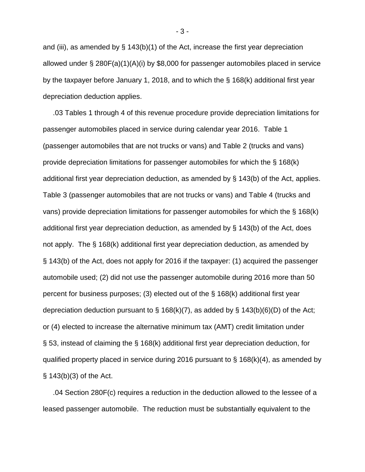and (iii), as amended by  $\S$  143(b)(1) of the Act, increase the first year depreciation allowed under § 280F(a)(1)(A)(i) by \$8,000 for passenger automobiles placed in service by the taxpayer before January 1, 2018, and to which the § 168(k) additional first year depreciation deduction applies.

 .03 Tables 1 through 4 of this revenue procedure provide depreciation limitations for passenger automobiles placed in service during calendar year 2016. Table 1 (passenger automobiles that are not trucks or vans) and Table 2 (trucks and vans) provide depreciation limitations for passenger automobiles for which the § 168(k) additional first year depreciation deduction, as amended by § 143(b) of the Act, applies. Table 3 (passenger automobiles that are not trucks or vans) and Table 4 (trucks and vans) provide depreciation limitations for passenger automobiles for which the § 168(k) additional first year depreciation deduction, as amended by § 143(b) of the Act, does not apply. The § 168(k) additional first year depreciation deduction, as amended by § 143(b) of the Act, does not apply for 2016 if the taxpayer: (1) acquired the passenger automobile used; (2) did not use the passenger automobile during 2016 more than 50 percent for business purposes; (3) elected out of the § 168(k) additional first year depreciation deduction pursuant to  $\S$  168(k)(7), as added by  $\S$  143(b)(6)(D) of the Act; or (4) elected to increase the alternative minimum tax (AMT) credit limitation under § 53, instead of claiming the § 168(k) additional first year depreciation deduction, for qualified property placed in service during 2016 pursuant to  $\S$  168(k)(4), as amended by § 143(b)(3) of the Act.

 .04 Section 280F(c) requires a reduction in the deduction allowed to the lessee of a leased passenger automobile. The reduction must be substantially equivalent to the

- 3 -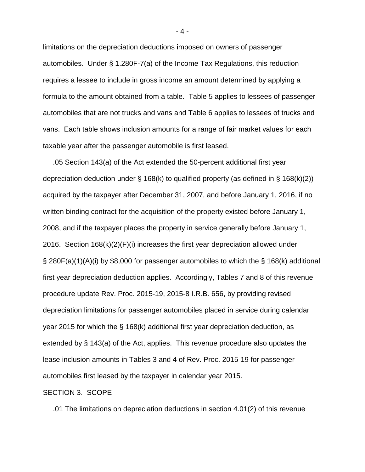limitations on the depreciation deductions imposed on owners of passenger automobiles. Under § 1.280F-7(a) of the Income Tax Regulations, this reduction requires a lessee to include in gross income an amount determined by applying a formula to the amount obtained from a table. Table 5 applies to lessees of passenger automobiles that are not trucks and vans and Table 6 applies to lessees of trucks and vans. Each table shows inclusion amounts for a range of fair market values for each taxable year after the passenger automobile is first leased.

 .05 Section 143(a) of the Act extended the 50-percent additional first year depreciation deduction under § 168(k) to qualified property (as defined in § 168(k)(2)) acquired by the taxpayer after December 31, 2007, and before January 1, 2016, if no written binding contract for the acquisition of the property existed before January 1, 2008, and if the taxpayer places the property in service generally before January 1, 2016. Section 168(k)(2)(F)(i) increases the first year depreciation allowed under § 280F(a)(1)(A)(i) by \$8,000 for passenger automobiles to which the § 168(k) additional first year depreciation deduction applies. Accordingly, Tables 7 and 8 of this revenue procedure update Rev. Proc. 2015-19, 2015-8 I.R.B. 656, by providing revised depreciation limitations for passenger automobiles placed in service during calendar year 2015 for which the § 168(k) additional first year depreciation deduction, as extended by § 143(a) of the Act, applies. This revenue procedure also updates the lease inclusion amounts in Tables 3 and 4 of Rev. Proc. 2015-19 for passenger automobiles first leased by the taxpayer in calendar year 2015.

#### SECTION 3. SCOPE

.01 The limitations on depreciation deductions in section 4.01(2) of this revenue

- 4 -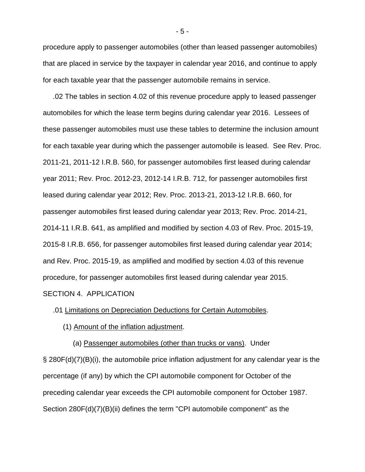procedure apply to passenger automobiles (other than leased passenger automobiles) that are placed in service by the taxpayer in calendar year 2016, and continue to apply for each taxable year that the passenger automobile remains in service.

 .02 The tables in section 4.02 of this revenue procedure apply to leased passenger automobiles for which the lease term begins during calendar year 2016. Lessees of these passenger automobiles must use these tables to determine the inclusion amount for each taxable year during which the passenger automobile is leased. See Rev. Proc. 2011-21, 2011-12 I.R.B. 560, for passenger automobiles first leased during calendar year 2011; Rev. Proc. 2012-23, 2012-14 I.R.B. 712, for passenger automobiles first leased during calendar year 2012; Rev. Proc. 2013-21, 2013-12 I.R.B. 660, for passenger automobiles first leased during calendar year 2013; Rev. Proc. 2014-21, 2014-11 I.R.B. 641, as amplified and modified by section 4.03 of Rev. Proc. 2015-19, 2015-8 I.R.B. 656, for passenger automobiles first leased during calendar year 2014; and Rev. Proc. 2015-19, as amplified and modified by section 4.03 of this revenue procedure, for passenger automobiles first leased during calendar year 2015. SECTION 4. APPLICATION

#### .01 Limitations on Depreciation Deductions for Certain Automobiles.

(1) Amount of the inflation adjustment.

(a) Passenger automobiles (other than trucks or vans). Under

§ 280F(d)(7)(B)(i), the automobile price inflation adjustment for any calendar year is the percentage (if any) by which the CPI automobile component for October of the preceding calendar year exceeds the CPI automobile component for October 1987. Section 280F(d)(7)(B)(ii) defines the term "CPI automobile component" as the

- 5 -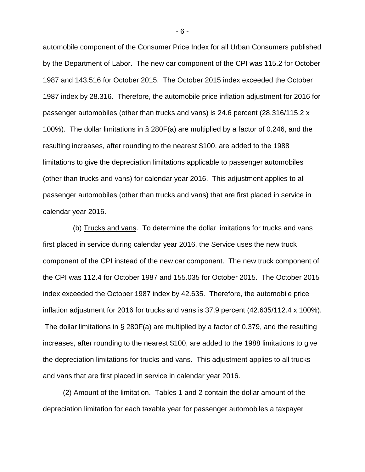automobile component of the Consumer Price Index for all Urban Consumers published by the Department of Labor. The new car component of the CPI was 115.2 for October 1987 and 143.516 for October 2015. The October 2015 index exceeded the October 1987 index by 28.316. Therefore, the automobile price inflation adjustment for 2016 for passenger automobiles (other than trucks and vans) is 24.6 percent (28.316/115.2 x 100%). The dollar limitations in § 280F(a) are multiplied by a factor of 0.246, and the resulting increases, after rounding to the nearest \$100, are added to the 1988 limitations to give the depreciation limitations applicable to passenger automobiles (other than trucks and vans) for calendar year 2016. This adjustment applies to all passenger automobiles (other than trucks and vans) that are first placed in service in calendar year 2016.

 (b) Trucks and vans. To determine the dollar limitations for trucks and vans first placed in service during calendar year 2016, the Service uses the new truck component of the CPI instead of the new car component. The new truck component of the CPI was 112.4 for October 1987 and 155.035 for October 2015. The October 2015 index exceeded the October 1987 index by 42.635. Therefore, the automobile price inflation adjustment for 2016 for trucks and vans is 37.9 percent (42.635/112.4 x 100%). The dollar limitations in § 280F(a) are multiplied by a factor of 0.379, and the resulting increases, after rounding to the nearest \$100, are added to the 1988 limitations to give the depreciation limitations for trucks and vans. This adjustment applies to all trucks and vans that are first placed in service in calendar year 2016.

 (2) Amount of the limitation. Tables 1 and 2 contain the dollar amount of the depreciation limitation for each taxable year for passenger automobiles a taxpayer

- 6 -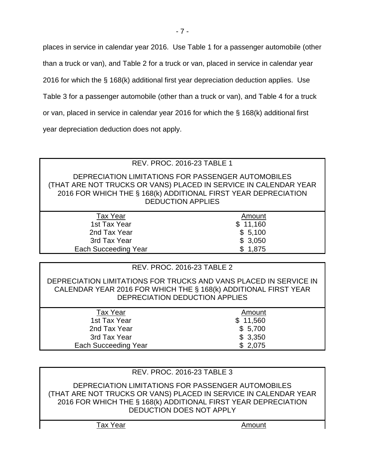places in service in calendar year 2016. Use Table 1 for a passenger automobile (other

than a truck or van), and Table 2 for a truck or van, placed in service in calendar year

2016 for which the § 168(k) additional first year depreciation deduction applies. Use

Table 3 for a passenger automobile (other than a truck or van), and Table 4 for a truck

or van, placed in service in calendar year 2016 for which the § 168(k) additional first

year depreciation deduction does not apply.

# REV. PROC. 2016-23 TABLE 1

DEPRECIATION LIMITATIONS FOR PASSENGER AUTOMOBILES (THAT ARE NOT TRUCKS OR VANS) PLACED IN SERVICE IN CALENDAR YEAR 2016 FOR WHICH THE § 168(k) ADDITIONAL FIRST YEAR DEPRECIATION DEDUCTION APPLIES

| Tax Year                    | Amount   |
|-----------------------------|----------|
| 1st Tax Year                | \$11,160 |
| 2nd Tax Year                | \$5,100  |
| 3rd Tax Year                | \$3,050  |
| <b>Each Succeeding Year</b> | \$1,875  |
|                             |          |

# REV. PROC. 2016-23 TABLE 2

DEPRECIATION LIMITATIONS FOR TRUCKS AND VANS PLACED IN SERVICE IN CALENDAR YEAR 2016 FOR WHICH THE § 168(k) ADDITIONAL FIRST YEAR DEPRECIATION DEDUCTION APPLIES

| \$11,560 |        |
|----------|--------|
| \$5,700  |        |
| \$3,350  |        |
| \$2,075  |        |
|          | Amount |

# REV. PROC. 2016-23 TABLE 3

DEPRECIATION LIMITATIONS FOR PASSENGER AUTOMOBILES (THAT ARE NOT TRUCKS OR VANS) PLACED IN SERVICE IN CALENDAR YEAR 2016 FOR WHICH THE § 168(k) ADDITIONAL FIRST YEAR DEPRECIATION DEDUCTION DOES NOT APPLY

Tax Year **Amount**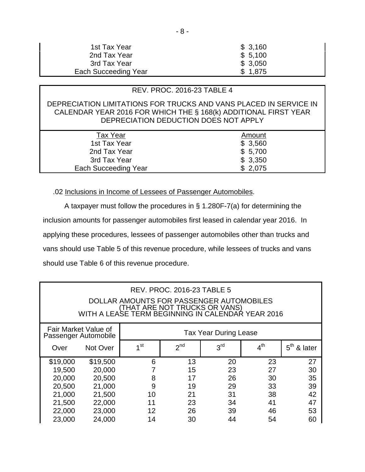| 1st Tax Year         | \$3,160 |
|----------------------|---------|
| 2nd Tax Year         | \$5,100 |
| 3rd Tax Year         | \$3,050 |
| Each Succeeding Year | \$1,875 |

# REV. PROC. 2016-23 TABLE 4

## DEPRECIATION LIMITATIONS FOR TRUCKS AND VANS PLACED IN SERVICE IN CALENDAR YEAR 2016 FOR WHICH THE § 168(k) ADDITIONAL FIRST YEAR DEPRECIATION DEDUCTION DOES NOT APPLY

| <b>Tax Year</b>      | Amount  |
|----------------------|---------|
| 1st Tax Year         | \$3,560 |
| 2nd Tax Year         | \$5,700 |
| 3rd Tax Year         | \$3,350 |
| Each Succeeding Year | \$2,075 |
|                      |         |

### .02 Inclusions in Income of Lessees of Passenger Automobiles.

A taxpayer must follow the procedures in § 1.280F-7(a) for determining the inclusion amounts for passenger automobiles first leased in calendar year 2016. In applying these procedures, lessees of passenger automobiles other than trucks and vans should use Table 5 of this revenue procedure, while lessees of trucks and vans should use Table 6 of this revenue procedure.

| <b>REV. PROC. 2016-23 TABLE 5</b><br>DOLLAR AMOUNTS FOR PASSENGER AUTOMOBILES<br>(THAT ARE NOT TRUCKS OR VANS)<br>WITH A LEASE TERM BEGINNING IN CALENDAR YEAR 2016 |          |                              |                 |                 |                 |               |
|---------------------------------------------------------------------------------------------------------------------------------------------------------------------|----------|------------------------------|-----------------|-----------------|-----------------|---------------|
| Fair Market Value of<br>Passenger Automobile                                                                                                                        |          | <b>Tax Year During Lease</b> |                 |                 |                 |               |
| Over                                                                                                                                                                | Not Over | 1 <sup>st</sup>              | 2 <sub>nd</sub> | 3 <sup>rd</sup> | $4^{\text{th}}$ | $5th$ & later |
| \$19,000                                                                                                                                                            | \$19,500 | 6                            | 13              | 20              | 23              | 27            |
| 19,500                                                                                                                                                              | 20,000   |                              | 15              | 23              | 27              | 30            |
| 20,000                                                                                                                                                              | 20,500   | 8                            | 17              | 26              | 30              | 35            |
| 20,500                                                                                                                                                              | 21,000   | 9                            | 19              | 29              | 33              | 39            |
| 21,000                                                                                                                                                              | 21,500   | 10                           | 21              | 31              | 38              | 42            |
| 21,500                                                                                                                                                              | 22,000   | 11                           | 23              | 34              | 41              | 47            |
| 22,000                                                                                                                                                              | 23,000   | 12                           | 26              | 39              | 46              | 53            |
| 23,000                                                                                                                                                              | 24,000   | 14                           | 30              | 44              | 54              | 60            |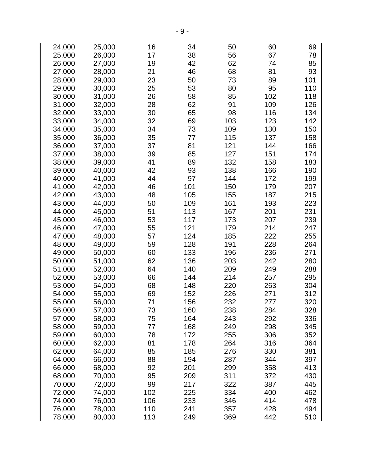| 24,000 | 25,000 | 16  | 34  | 50  | 60  | 69  |
|--------|--------|-----|-----|-----|-----|-----|
| 25,000 | 26,000 | 17  | 38  | 56  | 67  | 78  |
|        |        |     |     |     |     |     |
| 26,000 | 27,000 | 19  | 42  | 62  | 74  | 85  |
| 27,000 | 28,000 | 21  | 46  | 68  | 81  | 93  |
| 28,000 | 29,000 | 23  | 50  | 73  | 89  | 101 |
| 29,000 | 30,000 | 25  | 53  | 80  | 95  | 110 |
| 30,000 | 31,000 | 26  | 58  | 85  | 102 | 118 |
| 31,000 |        | 28  | 62  | 91  | 109 | 126 |
|        | 32,000 |     |     |     |     |     |
| 32,000 | 33,000 | 30  | 65  | 98  | 116 | 134 |
| 33,000 | 34,000 | 32  | 69  | 103 | 123 | 142 |
| 34,000 | 35,000 | 34  | 73  | 109 | 130 | 150 |
| 35,000 | 36,000 | 35  | 77  | 115 | 137 | 158 |
| 36,000 | 37,000 | 37  | 81  | 121 | 144 | 166 |
| 37,000 | 38,000 | 39  | 85  | 127 | 151 | 174 |
|        |        |     |     |     |     |     |
| 38,000 | 39,000 | 41  | 89  | 132 | 158 | 183 |
| 39,000 | 40,000 | 42  | 93  | 138 | 166 | 190 |
| 40,000 | 41,000 | 44  | 97  | 144 | 172 | 199 |
| 41,000 | 42,000 | 46  | 101 | 150 | 179 | 207 |
| 42,000 | 43,000 | 48  | 105 | 155 | 187 | 215 |
| 43,000 | 44,000 | 50  | 109 | 161 | 193 | 223 |
| 44,000 | 45,000 | 51  | 113 | 167 | 201 | 231 |
|        |        |     |     |     |     |     |
| 45,000 | 46,000 | 53  | 117 | 173 | 207 | 239 |
| 46,000 | 47,000 | 55  | 121 | 179 | 214 | 247 |
| 47,000 | 48,000 | 57  | 124 | 185 | 222 | 255 |
| 48,000 | 49,000 | 59  | 128 | 191 | 228 | 264 |
| 49,000 | 50,000 | 60  | 133 | 196 | 236 | 271 |
| 50,000 | 51,000 | 62  | 136 | 203 | 242 | 280 |
|        |        | 64  |     |     | 249 |     |
| 51,000 | 52,000 |     | 140 | 209 |     | 288 |
| 52,000 | 53,000 | 66  | 144 | 214 | 257 | 295 |
| 53,000 | 54,000 | 68  | 148 | 220 | 263 | 304 |
| 54,000 | 55,000 | 69  | 152 | 226 | 271 | 312 |
| 55,000 | 56,000 | 71  | 156 | 232 | 277 | 320 |
| 56,000 | 57,000 | 73  | 160 | 238 | 284 | 328 |
| 57,000 | 58,000 | 75  | 164 | 243 | 292 | 336 |
|        |        | 77  | 168 | 249 |     |     |
| 58,000 | 59,000 |     |     |     | 298 | 345 |
| 59,000 | 60,000 | 78  | 172 | 255 | 306 | 352 |
| 60,000 | 62,000 | 81  | 178 | 264 | 316 | 364 |
| 62,000 | 64,000 | 85  | 185 | 276 | 330 | 381 |
| 64,000 | 66,000 | 88  | 194 | 287 | 344 | 397 |
| 66,000 | 68,000 | 92  | 201 | 299 | 358 | 413 |
| 68,000 | 70,000 | 95  | 209 | 311 | 372 | 430 |
|        |        | 99  | 217 | 322 | 387 | 445 |
| 70,000 | 72,000 |     |     |     |     |     |
| 72,000 | 74,000 | 102 | 225 | 334 | 400 | 462 |
| 74,000 | 76,000 | 106 | 233 | 346 | 414 | 478 |
| 76,000 | 78,000 | 110 | 241 | 357 | 428 | 494 |
| 78,000 | 80,000 | 113 | 249 | 369 | 442 | 510 |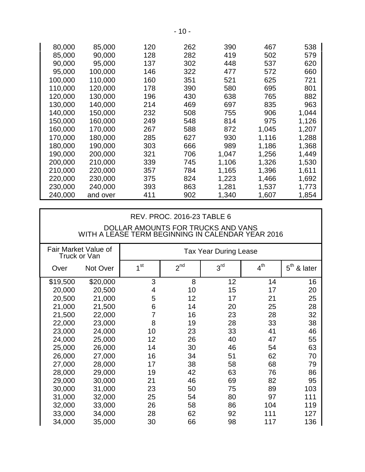| 80,000  | 85,000   | 120 | 262 | 390   | 467   | 538   |
|---------|----------|-----|-----|-------|-------|-------|
| 85,000  | 90,000   | 128 | 282 | 419   | 502   | 579   |
| 90,000  | 95,000   | 137 | 302 | 448   | 537   | 620   |
| 95,000  | 100,000  | 146 | 322 | 477   | 572   | 660   |
| 100,000 | 110,000  | 160 | 351 | 521   | 625   | 721   |
| 110,000 | 120,000  | 178 | 390 | 580   | 695   | 801   |
| 120,000 | 130,000  | 196 | 430 | 638   | 765   | 882   |
| 130,000 | 140,000  | 214 | 469 | 697   | 835   | 963   |
| 140,000 | 150,000  | 232 | 508 | 755   | 906   | 1,044 |
| 150,000 | 160,000  | 249 | 548 | 814   | 975   | 1,126 |
| 160,000 | 170,000  | 267 | 588 | 872   | 1,045 | 1,207 |
| 170,000 | 180,000  | 285 | 627 | 930   | 1,116 | 1,288 |
| 180,000 | 190,000  | 303 | 666 | 989   | 1,186 | 1,368 |
| 190,000 | 200,000  | 321 | 706 | 1,047 | 1,256 | 1,449 |
| 200,000 | 210,000  | 339 | 745 | 1,106 | 1,326 | 1,530 |
| 210,000 | 220,000  | 357 | 784 | 1,165 | 1,396 | 1,611 |
| 220,000 | 230,000  | 375 | 824 | 1,223 | 1,466 | 1,692 |
| 230,000 | 240,000  | 393 | 863 | 1,281 | 1,537 | 1,773 |
| 240,000 | and over | 411 | 902 | 1,340 | 1,607 | 1,854 |

## REV. PROC. 2016-23 TABLE 6

## DOLLAR AMOUNTS FOR TRUCKS AND VANS WITH A LEASE TERM BEGINNING IN CALENDAR YEAR 2016

|          | Fair Market Value of<br>Truck or Van |                 |                 | <b>Tax Year During Lease</b> |                 |                            |
|----------|--------------------------------------|-----------------|-----------------|------------------------------|-----------------|----------------------------|
| Over     | Not Over                             | 1 <sup>st</sup> | 2 <sup>nd</sup> | 3 <sup>rd</sup>              | $4^{\text{th}}$ | $5^{\text{th}}$<br>& later |
| \$19,500 | \$20,000                             | 3               | 8               | 12                           | 14              | 16                         |
| 20,000   | 20,500                               | 4               | 10              | 15                           | 17              | 20                         |
| 20,500   | 21,000                               | 5               | 12              | 17                           | 21              | 25                         |
| 21,000   | 21,500                               | 6               | 14              | 20                           | 25              | 28                         |
| 21,500   | 22,000                               | 7               | 16              | 23                           | 28              | 32                         |
| 22,000   | 23,000                               | 8               | 19              | 28                           | 33              | 38                         |
| 23,000   | 24,000                               | 10              | 23              | 33                           | 41              | 46                         |
| 24,000   | 25,000                               | 12              | 26              | 40                           | 47              | 55                         |
| 25,000   | 26,000                               | 14              | 30              | 46                           | 54              | 63                         |
| 26,000   | 27,000                               | 16              | 34              | 51                           | 62              | 70                         |
| 27,000   | 28,000                               | 17              | 38              | 58                           | 68              | 79                         |
| 28,000   | 29,000                               | 19              | 42              | 63                           | 76              | 86                         |
| 29,000   | 30,000                               | 21              | 46              | 69                           | 82              | 95                         |
| 30,000   | 31,000                               | 23              | 50              | 75                           | 89              | 103                        |
| 31,000   | 32,000                               | 25              | 54              | 80                           | 97              | 111                        |
| 32,000   | 33,000                               | 26              | 58              | 86                           | 104             | 119                        |
| 33,000   | 34,000                               | 28              | 62              | 92                           | 111             | 127                        |
| 34,000   | 35,000                               | 30              | 66              | 98                           | 117             | 136                        |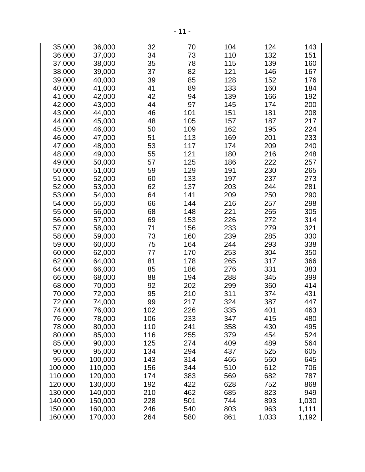| 35,000  | 36,000  | 32  | 70  | 104 | 124   | 143   |
|---------|---------|-----|-----|-----|-------|-------|
| 36,000  | 37,000  | 34  | 73  | 110 | 132   | 151   |
| 37,000  | 38,000  | 35  | 78  | 115 | 139   | 160   |
| 38,000  | 39,000  | 37  | 82  | 121 | 146   | 167   |
| 39,000  | 40,000  | 39  | 85  | 128 | 152   | 176   |
| 40,000  | 41,000  | 41  | 89  | 133 | 160   | 184   |
| 41,000  | 42,000  | 42  | 94  | 139 | 166   | 192   |
| 42,000  | 43,000  | 44  | 97  | 145 | 174   | 200   |
| 43,000  | 44,000  | 46  | 101 | 151 | 181   | 208   |
| 44,000  | 45,000  | 48  | 105 | 157 | 187   | 217   |
| 45,000  | 46,000  | 50  | 109 | 162 | 195   | 224   |
|         |         |     |     |     |       |       |
| 46,000  | 47,000  | 51  | 113 | 169 | 201   | 233   |
| 47,000  | 48,000  | 53  | 117 | 174 | 209   | 240   |
| 48,000  | 49,000  | 55  | 121 | 180 | 216   | 248   |
| 49,000  | 50,000  | 57  | 125 | 186 | 222   | 257   |
| 50,000  | 51,000  | 59  | 129 | 191 | 230   | 265   |
| 51,000  | 52,000  | 60  | 133 | 197 | 237   | 273   |
| 52,000  | 53,000  | 62  | 137 | 203 | 244   | 281   |
| 53,000  | 54,000  | 64  | 141 | 209 | 250   | 290   |
| 54,000  | 55,000  | 66  | 144 | 216 | 257   | 298   |
| 55,000  | 56,000  | 68  | 148 | 221 | 265   | 305   |
| 56,000  | 57,000  | 69  | 153 | 226 | 272   | 314   |
| 57,000  | 58,000  | 71  | 156 | 233 | 279   | 321   |
| 58,000  | 59,000  | 73  | 160 | 239 | 285   | 330   |
| 59,000  | 60,000  | 75  | 164 | 244 | 293   | 338   |
| 60,000  | 62,000  | 77  | 170 | 253 | 304   | 350   |
| 62,000  | 64,000  | 81  | 178 | 265 | 317   | 366   |
| 64,000  | 66,000  | 85  | 186 | 276 | 331   | 383   |
| 66,000  | 68,000  | 88  | 194 | 288 | 345   | 399   |
| 68,000  | 70,000  | 92  | 202 | 299 | 360   | 414   |
| 70,000  | 72,000  | 95  | 210 | 311 | 374   | 431   |
| 72,000  | 74,000  | 99  | 217 | 324 | 387   | 447   |
| 74,000  | 76,000  | 102 | 226 | 335 | 401   | 463   |
| 76,000  | 78,000  | 106 | 233 | 347 | 415   | 480   |
| 78,000  | 80,000  | 110 | 241 | 358 | 430   | 495   |
| 80,000  | 85,000  | 116 | 255 | 379 | 454   | 524   |
| 85,000  | 90,000  | 125 | 274 | 409 | 489   | 564   |
| 90,000  | 95,000  | 134 | 294 | 437 | 525   | 605   |
| 95,000  | 100,000 | 143 | 314 | 466 | 560   | 645   |
| 100,000 | 110,000 | 156 | 344 | 510 | 612   | 706   |
| 110,000 | 120,000 | 174 | 383 | 569 | 682   | 787   |
| 120,000 | 130,000 | 192 | 422 | 628 | 752   | 868   |
| 130,000 | 140,000 | 210 | 462 | 685 | 823   | 949   |
| 140,000 | 150,000 | 228 | 501 | 744 | 893   | 1,030 |
| 150,000 | 160,000 | 246 | 540 | 803 | 963   | 1,111 |
| 160,000 | 170,000 | 264 | 580 | 861 | 1,033 | 1,192 |
|         |         |     |     |     |       |       |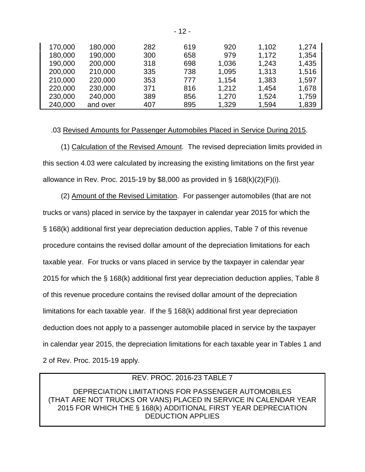| 170,000 | 180,000  | 282 | 619 | 920   | 1,102 | 1,274 |
|---------|----------|-----|-----|-------|-------|-------|
| 180,000 | 190,000  | 300 | 658 | 979   | 1,172 | 1,354 |
| 190,000 | 200,000  | 318 | 698 | 1,036 | 1,243 | 1,435 |
| 200,000 | 210,000  | 335 | 738 | 1,095 | 1,313 | 1,516 |
| 210,000 | 220,000  | 353 | 777 | 1,154 | 1,383 | 1,597 |
| 220,000 | 230,000  | 371 | 816 | 1,212 | 1,454 | 1,678 |
| 230,000 | 240,000  | 389 | 856 | 1,270 | 1,524 | 1,759 |
| 240,000 | and over | 407 | 895 | 1,329 | 1,594 | 1,839 |

### .03 Revised Amounts for Passenger Automobiles Placed in Service During 2015.

 (1) Calculation of the Revised Amount. The revised depreciation limits provided in this section 4.03 were calculated by increasing the existing limitations on the first year allowance in Rev. Proc. 2015-19 by \$8,000 as provided in  $\S$  168(k)(2)(F)(i).

 (2) Amount of the Revised Limitation. For passenger automobiles (that are not trucks or vans) placed in service by the taxpayer in calendar year 2015 for which the § 168(k) additional first year depreciation deduction applies, Table 7 of this revenue procedure contains the revised dollar amount of the depreciation limitations for each taxable year. For trucks or vans placed in service by the taxpayer in calendar year 2015 for which the § 168(k) additional first year depreciation deduction applies, Table 8 of this revenue procedure contains the revised dollar amount of the depreciation limitations for each taxable year. If the § 168(k) additional first year depreciation deduction does not apply to a passenger automobile placed in service by the taxpayer in calendar year 2015, the depreciation limitations for each taxable year in Tables 1 and 2 of Rev. Proc. 2015-19 apply.

# REV. PROC. 2016-23 TABLE 7

DEPRECIATION LIMITATIONS FOR PASSENGER AUTOMOBILES (THAT ARE NOT TRUCKS OR VANS) PLACED IN SERVICE IN CALENDAR YEAR 2015 FOR WHICH THE § 168(k) ADDITIONAL FIRST YEAR DEPRECIATION DEDUCTION APPLIES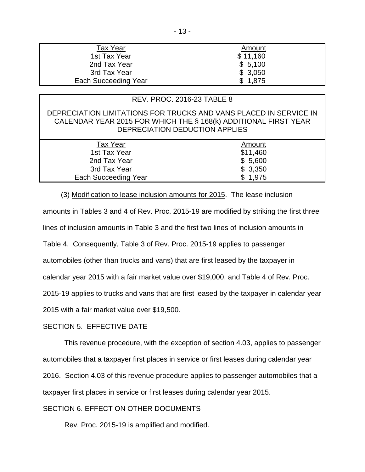| <b>Tax Year</b>      | Amount   |
|----------------------|----------|
| 1st Tax Year         | \$11,160 |
| 2nd Tax Year         | \$5,100  |
| 3rd Tax Year         | \$3,050  |
| Each Succeeding Year | \$1,875  |

| <b>REV. PROC. 2016-23 TABLE 8</b>                                                                                                                                      |          |
|------------------------------------------------------------------------------------------------------------------------------------------------------------------------|----------|
| DEPRECIATION LIMITATIONS FOR TRUCKS AND VANS PLACED IN SERVICE IN<br>CALENDAR YEAR 2015 FOR WHICH THE § 168(k) ADDITIONAL FIRST YEAR<br>DEPRECIATION DEDUCTION APPLIES |          |
| <b>Tax Year</b>                                                                                                                                                        | Amount   |
| 1st Tax Year                                                                                                                                                           | \$11,460 |
| 2nd Tax Year                                                                                                                                                           | \$5,600  |
| 3rd Tax Year                                                                                                                                                           | \$3,350  |
|                                                                                                                                                                        |          |

#### (3) Modification to lease inclusion amounts for 2015. The lease inclusion

amounts in Tables 3 and 4 of Rev. Proc. 2015-19 are modified by striking the first three lines of inclusion amounts in Table 3 and the first two lines of inclusion amounts in Table 4. Consequently, Table 3 of Rev. Proc. 2015-19 applies to passenger automobiles (other than trucks and vans) that are first leased by the taxpayer in calendar year 2015 with a fair market value over \$19,000, and Table 4 of Rev. Proc. 2015-19 applies to trucks and vans that are first leased by the taxpayer in calendar year 2015 with a fair market value over \$19,500.

### SECTION 5. EFFECTIVE DATE

This revenue procedure, with the exception of section 4.03, applies to passenger automobiles that a taxpayer first places in service or first leases during calendar year 2016. Section 4.03 of this revenue procedure applies to passenger automobiles that a taxpayer first places in service or first leases during calendar year 2015.

## SECTION 6. EFFECT ON OTHER DOCUMENTS

Rev. Proc. 2015-19 is amplified and modified.